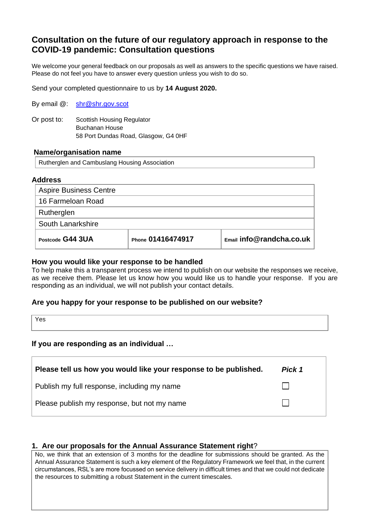# **Consultation on the future of our regulatory approach in response to the COVID-19 pandemic: Consultation questions**

We welcome your general feedback on our proposals as well as answers to the specific questions we have raised. Please do not feel you have to answer every question unless you wish to do so.

Send your completed questionnaire to us by **14 August 2020.**

| By email @: | shr@shr.gov.scot |
|-------------|------------------|
|-------------|------------------|

Or post to: Scottish Housing Regulator Buchanan House 58 Port Dundas Road, Glasgow, G4 0HF

#### **Name/organisation name**

Rutherglen and Cambuslang Housing Association

#### **Address**

| <b>Aspire Business Centre</b> |                   |                          |
|-------------------------------|-------------------|--------------------------|
| 16 Farmeloan Road             |                   |                          |
| Rutherglen                    |                   |                          |
| South Lanarkshire             |                   |                          |
| Postcode G44 3UA              | Phone 01416474917 | Email info@randcha.co.uk |

## **How you would like your response to be handled**

To help make this a transparent process we intend to publish on our website the responses we receive, as we receive them. Please let us know how you would like us to handle your response. If you are responding as an individual, we will not publish your contact details.

## **Are you happy for your response to be published on our website?**

Yes

## **If you are responding as an individual …**

| Please tell us how you would like your response to be published. | Pick 1 |
|------------------------------------------------------------------|--------|
| Publish my full response, including my name                      |        |
| Please publish my response, but not my name                      |        |

## **1. Are our proposals for the Annual Assurance Statement right**?

No, we think that an extension of 3 months for the deadline for submissions should be granted. As the Annual Assurance Statement is such a key element of the Regulatory Framework we feel that, in the current circumstances, RSL's are more focussed on service delivery in difficult times and that we could not dedicate the resources to submitting a robust Statement in the current timescales.